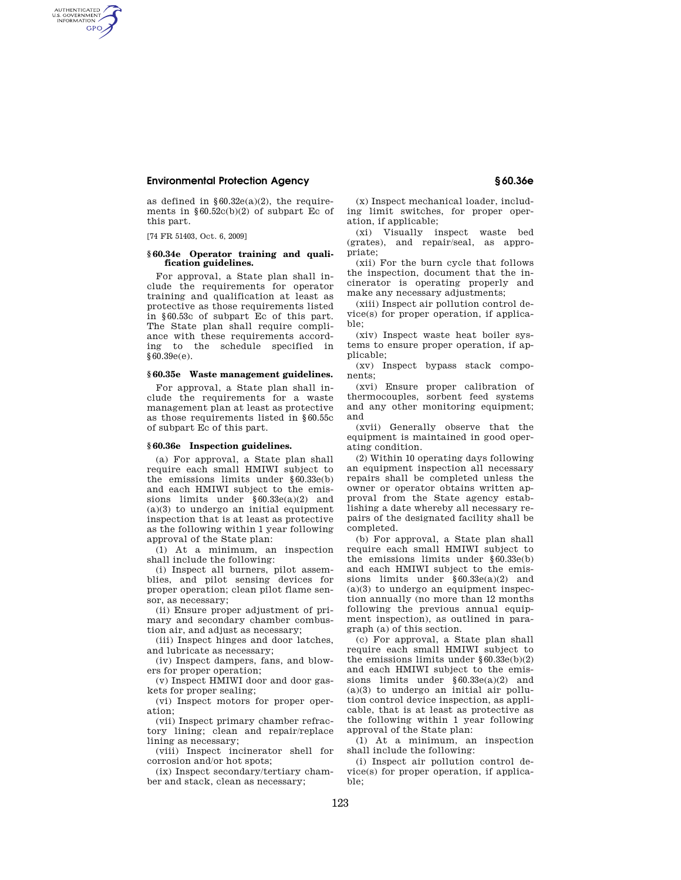# **Environmental Protection Agency § 60.36e**

as defined in  $§60.32e(a)(2)$ , the requirements in  $§60.52c(b)(2)$  of subpart Ec of this part.

[74 FR 51403, Oct. 6, 2009]

AUTHENTICATED<br>U.S. GOVERNMENT<br>INFORMATION **GPO** 

#### **§ 60.34e Operator training and qualification guidelines.**

For approval, a State plan shall include the requirements for operator training and qualification at least as protective as those requirements listed in §60.53c of subpart Ec of this part. The State plan shall require compliance with these requirements according to the schedule specified in  $§60.39e(e).$ 

#### **§ 60.35e Waste management guidelines.**

For approval, a State plan shall include the requirements for a waste management plan at least as protective as those requirements listed in §60.55c of subpart Ec of this part.

## **§ 60.36e Inspection guidelines.**

(a) For approval, a State plan shall require each small HMIWI subject to the emissions limits under §60.33e(b) and each HMIWI subject to the emissions limits under §60.33e(a)(2) and  $(a)(3)$  to undergo an initial equipment inspection that is at least as protective as the following within 1 year following approval of the State plan:

(1) At a minimum, an inspection shall include the following:

(i) Inspect all burners, pilot assemblies, and pilot sensing devices for proper operation; clean pilot flame sensor, as necessary;

(ii) Ensure proper adjustment of primary and secondary chamber combustion air, and adjust as necessary;

(iii) Inspect hinges and door latches, and lubricate as necessary;

(iv) Inspect dampers, fans, and blowers for proper operation;

(v) Inspect HMIWI door and door gaskets for proper sealing;

(vi) Inspect motors for proper operation;

(vii) Inspect primary chamber refractory lining; clean and repair/replace lining as necessary;

(viii) Inspect incinerator shell for corrosion and/or hot spots;

(ix) Inspect secondary/tertiary chamber and stack, clean as necessary;

(x) Inspect mechanical loader, including limit switches, for proper operation, if applicable;

(xi) Visually inspect waste bed (grates), and repair/seal, as appropriate;

(xii) For the burn cycle that follows the inspection, document that the incinerator is operating properly and make any necessary adjustments;

(xiii) Inspect air pollution control device(s) for proper operation, if applicable;

(xiv) Inspect waste heat boiler systems to ensure proper operation, if applicable;

(xv) Inspect bypass stack components;

(xvi) Ensure proper calibration of thermocouples, sorbent feed systems and any other monitoring equipment; and

(xvii) Generally observe that the equipment is maintained in good operating condition.

(2) Within 10 operating days following an equipment inspection all necessary repairs shall be completed unless the owner or operator obtains written approval from the State agency establishing a date whereby all necessary repairs of the designated facility shall be completed.

(b) For approval, a State plan shall require each small HMIWI subject to the emissions limits under §60.33e(b) and each HMIWI subject to the emissions limits under §60.33e(a)(2) and  $(a)(3)$  to undergo an equipment inspection annually (no more than 12 months following the previous annual equipment inspection), as outlined in paragraph (a) of this section.

(c) For approval, a State plan shall require each small HMIWI subject to the emissions limits under §60.33e(b)(2) and each HMIWI subject to the emissions limits under §60.33e(a)(2) and  $(a)(3)$  to undergo an initial air pollution control device inspection, as applicable, that is at least as protective as the following within 1 year following approval of the State plan:

(1) At a minimum, an inspection shall include the following:

(i) Inspect air pollution control device(s) for proper operation, if applicable;